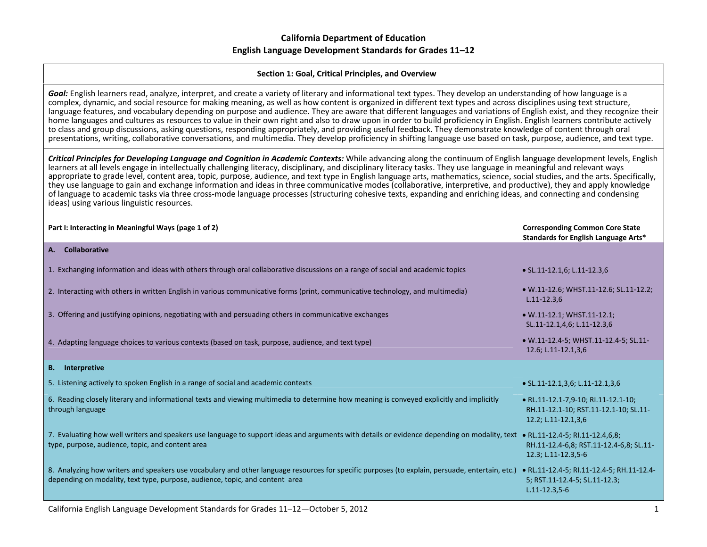#### **Section 1: Goal, Critical Principles, and Overview**

*Goal:* English learners read, analyze, interpret, and create <sup>a</sup> variety of literary and informational text types. They develop an understanding of how language is <sup>a</sup> complex, dynamic, and social resource for making meaning, as well as how content is organized in different text types and across disciplines using text structure, language features, and vocabulary depending on purpose and audience. They are aware that different languages and variations of English exist, and they recognize their home languages and cultures as resources to value in their own right and also to draw upon in order to build proficiency in English. English learners contribute actively to class and group discussions, asking questions, responding appropriately, and providing useful feedback. They demonstrate knowledge of content through oral presentations, writing, collaborative conversations, and multimedia. They develop proficiency in shifting language use based on task, purpose, audience, and text type.

Critical Principles for Developing Language and Cognition in Academic Contexts: While advancing along the continuum of English language development levels, English learners at all levels engage in intellectually challenging literacy, disciplinary, and disciplinary literacy tasks. They use language in meaningful and relevant ways appropriate to grade level, content area, topic, purpose, audience, and text type in English language arts, mathematics, science, social studies, and the arts. Specifically, they use language to gain and exchange information and ideas in three communicative modes (collaborative, interpretive, and productive), they and apply knowledge of language to academic tasks via three cross‐mode language processes (structuring cohesive texts, expanding and enriching ideas, and connecting and condensing ideas) using various linguistic resources.

| Part I: Interacting in Meaningful Ways (page 1 of 2)                                                                                                                                                                             | <b>Corresponding Common Core State</b><br>Standards for English Language Arts*                      |
|----------------------------------------------------------------------------------------------------------------------------------------------------------------------------------------------------------------------------------|-----------------------------------------------------------------------------------------------------|
| <b>Collaborative</b><br>А.                                                                                                                                                                                                       |                                                                                                     |
| 1. Exchanging information and ideas with others through oral collaborative discussions on a range of social and academic topics                                                                                                  | $\bullet$ SL.11-12.1,6; L.11-12.3,6                                                                 |
| 2. Interacting with others in written English in various communicative forms (print, communicative technology, and multimedia)                                                                                                   | • W.11-12.6; WHST.11-12.6; SL.11-12.2;<br>$L.11 - 12.3,6$                                           |
| 3. Offering and justifying opinions, negotiating with and persuading others in communicative exchanges                                                                                                                           | $\bullet$ W.11-12.1; WHST.11-12.1;<br>SL.11-12.1,4,6; L.11-12.3,6                                   |
| 4. Adapting language choices to various contexts (based on task, purpose, audience, and text type)                                                                                                                               | • W.11-12.4-5; WHST.11-12.4-5; SL.11-<br>12.6; L.11-12.1,3,6                                        |
| <b>B.</b> Interpretive                                                                                                                                                                                                           |                                                                                                     |
| 5. Listening actively to spoken English in a range of social and academic contexts                                                                                                                                               | • SL.11-12.1,3,6; L.11-12.1,3,6                                                                     |
| 6. Reading closely literary and informational texts and viewing multimedia to determine how meaning is conveyed explicitly and implicitly<br>through language                                                                    | • RL.11-12.1-7,9-10; RI.11-12.1-10;<br>RH.11-12.1-10; RST.11-12.1-10; SL.11-<br>12.2; L.11-12.1,3,6 |
| 7. Evaluating how well writers and speakers use language to support ideas and arguments with details or evidence depending on modality, text • RL.11-12.4-5; RI.11-12.4,6,8;<br>type, purpose, audience, topic, and content area | RH.11-12.4-6,8; RST.11-12.4-6,8; SL.11-<br>12.3; L.11-12.3,5-6                                      |
| 8. Analyzing how writers and speakers use vocabulary and other language resources for specific purposes (to explain, persuade, entertain, etc.)<br>depending on modality, text type, purpose, audience, topic, and content area  | • RL.11-12.4-5; RI.11-12.4-5; RH.11-12.4-<br>5; RST.11-12.4-5; SL.11-12.3;<br>$L.11 - 12.3, 5 - 6$  |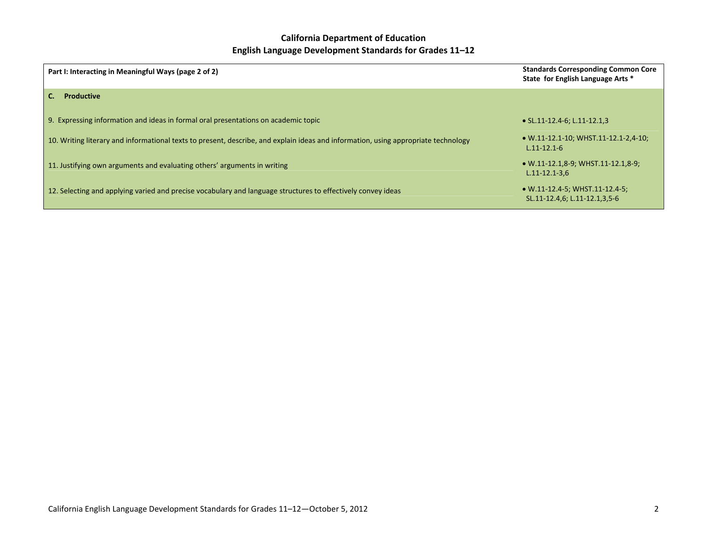| Part I: Interacting in Meaningful Ways (page 2 of 2)                                                                               | <b>Standards Corresponding Common Core</b><br>State for English Language Arts * |
|------------------------------------------------------------------------------------------------------------------------------------|---------------------------------------------------------------------------------|
| <b>Productive</b>                                                                                                                  |                                                                                 |
| 9. Expressing information and ideas in formal oral presentations on academic topic                                                 | • SL.11-12.4-6; L.11-12.1,3                                                     |
| 10. Writing literary and informational texts to present, describe, and explain ideas and information, using appropriate technology | $\bullet$ W.11-12.1-10; WHST.11-12.1-2,4-10;<br>$L.11 - 12.1 - 6$               |
| 11. Justifying own arguments and evaluating others' arguments in writing                                                           | $\bullet$ W.11-12.1,8-9; WHST.11-12.1,8-9;<br>$L.11 - 12.1 - 3.6$               |
| 12. Selecting and applying varied and precise vocabulary and language structures to effectively convey ideas                       | • W.11-12.4-5; WHST.11-12.4-5;<br>SL.11-12.4,6; L.11-12.1,3,5-6                 |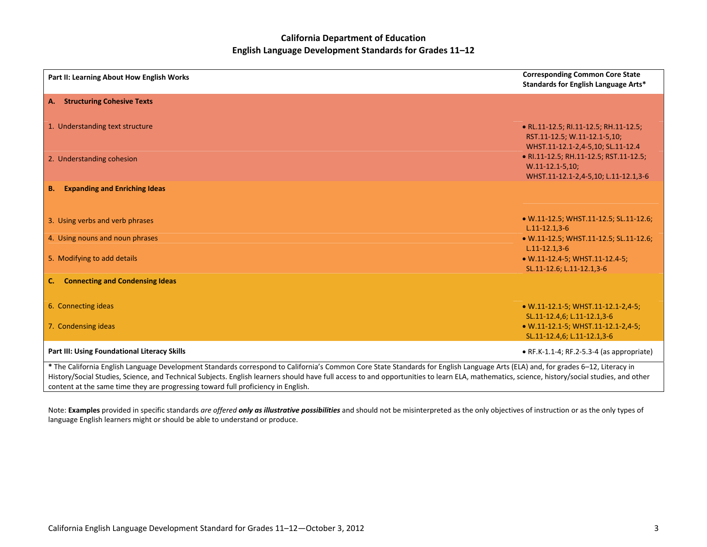| Part II: Learning About How English Works                                                                                                                                                                                                                                                                                                                                        | <b>Corresponding Common Core State</b><br>Standards for English Language Arts*                             |
|----------------------------------------------------------------------------------------------------------------------------------------------------------------------------------------------------------------------------------------------------------------------------------------------------------------------------------------------------------------------------------|------------------------------------------------------------------------------------------------------------|
| <b>Structuring Cohesive Texts</b><br>A.                                                                                                                                                                                                                                                                                                                                          |                                                                                                            |
| 1. Understanding text structure                                                                                                                                                                                                                                                                                                                                                  | • RL.11-12.5; RI.11-12.5; RH.11-12.5;<br>RST.11-12.5; W.11-12.1-5,10;<br>WHST.11-12.1-2,4-5,10; SL.11-12.4 |
| 2. Understanding cohesion                                                                                                                                                                                                                                                                                                                                                        | • RI.11-12.5; RH.11-12.5; RST.11-12.5;<br>$W.11-12.1-5,10;$<br>WHST.11-12.1-2,4-5,10; L.11-12.1,3-6        |
| <b>Expanding and Enriching Ideas</b><br><b>B.</b>                                                                                                                                                                                                                                                                                                                                |                                                                                                            |
| 3. Using verbs and verb phrases                                                                                                                                                                                                                                                                                                                                                  | • W.11-12.5; WHST.11-12.5; SL.11-12.6;<br>$L.11 - 12.1, 3 - 6$                                             |
| 4. Using nouns and noun phrases                                                                                                                                                                                                                                                                                                                                                  | • W.11-12.5; WHST.11-12.5; SL.11-12.6;<br>$L.11 - 12.1, 3 - 6$                                             |
| 5. Modifying to add details                                                                                                                                                                                                                                                                                                                                                      | • W.11-12.4-5; WHST.11-12.4-5;<br>SL.11-12.6; L.11-12.1,3-6                                                |
| <b>Connecting and Condensing Ideas</b><br>C.                                                                                                                                                                                                                                                                                                                                     |                                                                                                            |
| 6. Connecting ideas                                                                                                                                                                                                                                                                                                                                                              | • W.11-12.1-5; WHST.11-12.1-2,4-5;<br>SL.11-12.4,6; L.11-12.1,3-6                                          |
| 7. Condensing ideas                                                                                                                                                                                                                                                                                                                                                              | • W.11-12.1-5; WHST.11-12.1-2,4-5;<br>SL.11-12.4,6; L.11-12.1,3-6                                          |
| Part III: Using Foundational Literacy Skills                                                                                                                                                                                                                                                                                                                                     | $\bullet$ RF.K-1.1-4; RF.2-5.3-4 (as appropriate)                                                          |
| * The California English Language Development Standards correspond to California's Common Core State Standards for English Language Arts (ELA) and, for grades 6-12, Literacy in<br>History/Social Studies, Science, and Technical Subjects. English learners should have full access to and opportunities to learn ELA, mathematics, science, history/social studies, and other |                                                                                                            |

History/Social Studies, Science, and Technical Subjects. English learners should have full access to and opportunities to learn ELA, mathematics, science, history/social studies, and other content at the same time they are progressing toward full proficiency in English.

Note: Examples provided in specific standards are offered only as illustrative possibilities and should not be misinterpreted as the only objectives of instruction or as the only types of language English learners might or should be able to understand or produce.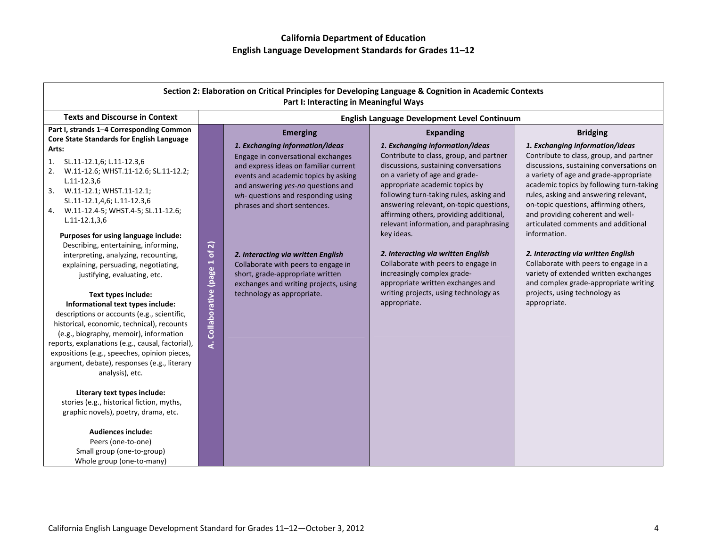| Section 2: Elaboration on Critical Principles for Developing Language & Cognition in Academic Contexts<br>Part I: Interacting in Meaningful Ways                                                                                                                                                                                                                                                                                                                                                                                                                                                                                                                                                                                                                                                                                                                                                             |                                                                                                                                                                                                                                                                                                                                                                                                                                                                                                                    |                                                                                                                                                                                                                                                                                                                                                                                                                                                                                                                                                                                                                |                                                                                                                                                                                                                                                                                                                                                                                                                                                                                                                                                                                                                                |  |  |
|--------------------------------------------------------------------------------------------------------------------------------------------------------------------------------------------------------------------------------------------------------------------------------------------------------------------------------------------------------------------------------------------------------------------------------------------------------------------------------------------------------------------------------------------------------------------------------------------------------------------------------------------------------------------------------------------------------------------------------------------------------------------------------------------------------------------------------------------------------------------------------------------------------------|--------------------------------------------------------------------------------------------------------------------------------------------------------------------------------------------------------------------------------------------------------------------------------------------------------------------------------------------------------------------------------------------------------------------------------------------------------------------------------------------------------------------|----------------------------------------------------------------------------------------------------------------------------------------------------------------------------------------------------------------------------------------------------------------------------------------------------------------------------------------------------------------------------------------------------------------------------------------------------------------------------------------------------------------------------------------------------------------------------------------------------------------|--------------------------------------------------------------------------------------------------------------------------------------------------------------------------------------------------------------------------------------------------------------------------------------------------------------------------------------------------------------------------------------------------------------------------------------------------------------------------------------------------------------------------------------------------------------------------------------------------------------------------------|--|--|
| <b>Texts and Discourse in Context</b>                                                                                                                                                                                                                                                                                                                                                                                                                                                                                                                                                                                                                                                                                                                                                                                                                                                                        |                                                                                                                                                                                                                                                                                                                                                                                                                                                                                                                    | English Language Development Level Continuum                                                                                                                                                                                                                                                                                                                                                                                                                                                                                                                                                                   |                                                                                                                                                                                                                                                                                                                                                                                                                                                                                                                                                                                                                                |  |  |
| Part I, strands 1-4 Corresponding Common<br>Core State Standards for English Language<br>Arts:<br>SL.11-12.1,6; L.11-12.3,6<br>1.<br>2.<br>W.11-12.6; WHST.11-12.6; SL.11-12.2;<br>$L.11 - 12.3,6$<br>3.<br>W.11-12.1; WHST.11-12.1;<br>SL.11-12.1,4,6; L.11-12.3,6<br>W.11-12.4-5; WHST.4-5; SL.11-12.6;<br>4.<br>$L.11-12.1,3,6$<br>Purposes for using language include:<br>Describing, entertaining, informing,<br>interpreting, analyzing, recounting,<br>explaining, persuading, negotiating,<br>justifying, evaluating, etc.<br>Text types include:<br>Informational text types include:<br>descriptions or accounts (e.g., scientific,<br>historical, economic, technical), recounts<br>(e.g., biography, memoir), information<br>reports, explanations (e.g., causal, factorial),<br>expositions (e.g., speeches, opinion pieces,<br>argument, debate), responses (e.g., literary<br>analysis), etc. | <b>Emerging</b><br>1. Exchanging information/ideas<br>Engage in conversational exchanges<br>and express ideas on familiar current<br>events and academic topics by asking<br>and answering yes-no questions and<br>wh- questions and responding using<br>phrases and short sentences.<br>of 2)<br>2. Interacting via written English<br>A. Collaborative (page 1<br>Collaborate with peers to engage in<br>short, grade-appropriate written<br>exchanges and writing projects, using<br>technology as appropriate. | <b>Expanding</b><br>1. Exchanging information/ideas<br>Contribute to class, group, and partner<br>discussions, sustaining conversations<br>on a variety of age and grade-<br>appropriate academic topics by<br>following turn-taking rules, asking and<br>answering relevant, on-topic questions,<br>affirming others, providing additional,<br>relevant information, and paraphrasing<br>key ideas.<br>2. Interacting via written English<br>Collaborate with peers to engage in<br>increasingly complex grade-<br>appropriate written exchanges and<br>writing projects, using technology as<br>appropriate. | <b>Bridging</b><br>1. Exchanging information/ideas<br>Contribute to class, group, and partner<br>discussions, sustaining conversations on<br>a variety of age and grade-appropriate<br>academic topics by following turn-taking<br>rules, asking and answering relevant,<br>on-topic questions, affirming others,<br>and providing coherent and well-<br>articulated comments and additional<br>information.<br>2. Interacting via written English<br>Collaborate with peers to engage in a<br>variety of extended written exchanges<br>and complex grade-appropriate writing<br>projects, using technology as<br>appropriate. |  |  |
| Literary text types include:<br>stories (e.g., historical fiction, myths,<br>graphic novels), poetry, drama, etc.<br><b>Audiences include:</b><br>Peers (one-to-one)<br>Small group (one-to-group)<br>Whole group (one-to-many)                                                                                                                                                                                                                                                                                                                                                                                                                                                                                                                                                                                                                                                                              |                                                                                                                                                                                                                                                                                                                                                                                                                                                                                                                    |                                                                                                                                                                                                                                                                                                                                                                                                                                                                                                                                                                                                                |                                                                                                                                                                                                                                                                                                                                                                                                                                                                                                                                                                                                                                |  |  |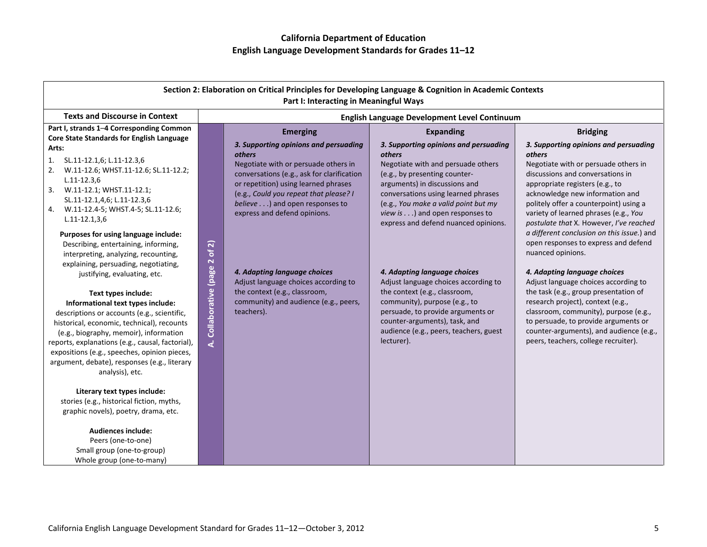| Section 2: Elaboration on Critical Principles for Developing Language & Cognition in Academic Contexts<br>Part I: Interacting in Meaningful Ways                                                                                                                                                                                                                                                          |                                                        |                                                                                                                                                                                                                                                                                                  |                                                                                                                                                                                                                                                                                                                  |                                                                                                                                                                                                                                                                                                                                                                                                                                            |  |
|-----------------------------------------------------------------------------------------------------------------------------------------------------------------------------------------------------------------------------------------------------------------------------------------------------------------------------------------------------------------------------------------------------------|--------------------------------------------------------|--------------------------------------------------------------------------------------------------------------------------------------------------------------------------------------------------------------------------------------------------------------------------------------------------|------------------------------------------------------------------------------------------------------------------------------------------------------------------------------------------------------------------------------------------------------------------------------------------------------------------|--------------------------------------------------------------------------------------------------------------------------------------------------------------------------------------------------------------------------------------------------------------------------------------------------------------------------------------------------------------------------------------------------------------------------------------------|--|
| <b>Texts and Discourse in Context</b>                                                                                                                                                                                                                                                                                                                                                                     |                                                        | English Language Development Level Continuum                                                                                                                                                                                                                                                     |                                                                                                                                                                                                                                                                                                                  |                                                                                                                                                                                                                                                                                                                                                                                                                                            |  |
| Part I, strands 1-4 Corresponding Common<br>Core State Standards for English Language                                                                                                                                                                                                                                                                                                                     |                                                        | <b>Emerging</b>                                                                                                                                                                                                                                                                                  | <b>Expanding</b>                                                                                                                                                                                                                                                                                                 | <b>Bridging</b>                                                                                                                                                                                                                                                                                                                                                                                                                            |  |
| Arts:<br>SL.11-12.1,6; L.11-12.3,6<br>1.<br>W.11-12.6; WHST.11-12.6; SL.11-12.2;<br>2.<br>$L.11 - 12.3,6$<br>W.11-12.1; WHST.11-12.1;<br>3.<br>SL.11-12.1,4,6; L.11-12.3,6<br>W.11-12.4-5; WHST.4-5; SL.11-12.6;<br>4.<br>$L.11-12.1,3,6$<br>Purposes for using language include:<br>Describing, entertaining, informing,<br>interpreting, analyzing, recounting,<br>explaining, persuading, negotiating, |                                                        | 3. Supporting opinions and persuading<br><b>others</b><br>Negotiate with or persuade others in<br>conversations (e.g., ask for clarification<br>or repetition) using learned phrases<br>(e.g., Could you repeat that please? I<br>believe) and open responses to<br>express and defend opinions. | 3. Supporting opinions and persuading<br>others<br>Negotiate with and persuade others<br>(e.g., by presenting counter-<br>arguments) in discussions and<br>conversations using learned phrases<br>(e.g., You make a valid point but my<br>view is) and open responses to<br>express and defend nuanced opinions. | 3. Supporting opinions and persuading<br>others<br>Negotiate with or persuade others in<br>discussions and conversations in<br>appropriate registers (e.g., to<br>acknowledge new information and<br>politely offer a counterpoint) using a<br>variety of learned phrases (e.g., You<br>postulate that X. However, I've reached<br>a different conclusion on this issue.) and<br>open responses to express and defend<br>nuanced opinions. |  |
| justifying, evaluating, etc.<br>Text types include:<br>Informational text types include:<br>descriptions or accounts (e.g., scientific,<br>historical, economic, technical), recounts<br>(e.g., biography, memoir), information<br>reports, explanations (e.g., causal, factorial),<br>expositions (e.g., speeches, opinion pieces,<br>argument, debate), responses (e.g., literary<br>analysis), etc.    | Collaborative (page 2 of 2)<br>$\overline{\mathbf{A}}$ | 4. Adapting language choices<br>Adjust language choices according to<br>the context (e.g., classroom,<br>community) and audience (e.g., peers,<br>teachers).                                                                                                                                     | 4. Adapting language choices<br>Adjust language choices according to<br>the context (e.g., classroom,<br>community), purpose (e.g., to<br>persuade, to provide arguments or<br>counter-arguments), task, and<br>audience (e.g., peers, teachers, guest<br>lecturer).                                             | 4. Adapting language choices<br>Adjust language choices according to<br>the task (e.g., group presentation of<br>research project), context (e.g.,<br>classroom, community), purpose (e.g.,<br>to persuade, to provide arguments or<br>counter-arguments), and audience (e.g.,<br>peers, teachers, college recruiter).                                                                                                                     |  |
| Literary text types include:<br>stories (e.g., historical fiction, myths,<br>graphic novels), poetry, drama, etc.<br><b>Audiences include:</b><br>Peers (one-to-one)<br>Small group (one-to-group)<br>Whole group (one-to-many)                                                                                                                                                                           |                                                        |                                                                                                                                                                                                                                                                                                  |                                                                                                                                                                                                                                                                                                                  |                                                                                                                                                                                                                                                                                                                                                                                                                                            |  |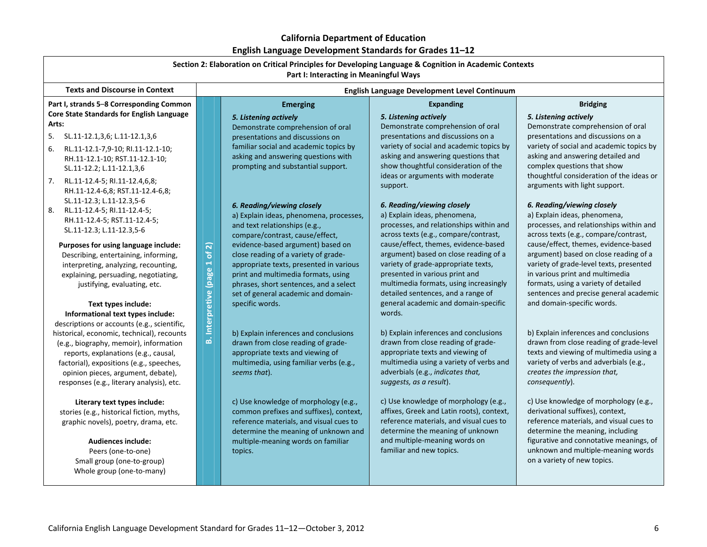| Section 2: Elaboration on Critical Principles for Developing Language & Cognition in Academic Contexts<br>Part I: Interacting in Meaningful Ways |                        |                                              |                                                                   |                                                                             |  |
|--------------------------------------------------------------------------------------------------------------------------------------------------|------------------------|----------------------------------------------|-------------------------------------------------------------------|-----------------------------------------------------------------------------|--|
| <b>Texts and Discourse in Context</b>                                                                                                            |                        | English Language Development Level Continuum |                                                                   |                                                                             |  |
| Part I, strands 5-8 Corresponding Common                                                                                                         |                        | <b>Emerging</b>                              | <b>Expanding</b>                                                  | <b>Bridging</b>                                                             |  |
| Core State Standards for English Language                                                                                                        |                        | 5. Listening actively                        | 5. Listening actively                                             | 5. Listening actively                                                       |  |
| Arts:                                                                                                                                            |                        | Demonstrate comprehension of oral            | Demonstrate comprehension of oral                                 | Demonstrate comprehension of oral                                           |  |
| 5.<br>SL.11-12.1,3,6; L.11-12.1,3,6                                                                                                              |                        | presentations and discussions on             | presentations and discussions on a                                | presentations and discussions on a                                          |  |
| 6.<br>RL.11-12.1-7,9-10; RI.11-12.1-10;                                                                                                          |                        | familiar social and academic topics by       | variety of social and academic topics by                          | variety of social and academic topics by                                    |  |
| RH.11-12.1-10; RST.11-12.1-10;                                                                                                                   |                        | asking and answering questions with          | asking and answering questions that                               | asking and answering detailed and                                           |  |
| SL.11-12.2; L.11-12.1,3,6                                                                                                                        |                        | prompting and substantial support.           | show thoughtful consideration of the                              | complex questions that show                                                 |  |
| 7.<br>RL.11-12.4-5; RI.11-12.4,6,8;                                                                                                              |                        |                                              | ideas or arguments with moderate                                  | thoughtful consideration of the ideas or                                    |  |
| RH.11-12.4-6,8; RST.11-12.4-6,8;                                                                                                                 |                        |                                              | support.                                                          | arguments with light support.                                               |  |
| SL.11-12.3; L.11-12.3,5-6                                                                                                                        |                        | 6. Reading/viewing closely                   | 6. Reading/viewing closely                                        | 6. Reading/viewing closely                                                  |  |
| 8.<br>RL.11-12.4-5; RI.11-12.4-5;                                                                                                                |                        | a) Explain ideas, phenomena, processes,      | a) Explain ideas, phenomena,                                      | a) Explain ideas, phenomena,                                                |  |
| RH.11-12.4-5; RST.11-12.4-5;                                                                                                                     |                        | and text relationships (e.g.,                | processes, and relationships within and                           | processes, and relationships within and                                     |  |
| SL.11-12.3; L.11-12.3,5-6                                                                                                                        |                        | compare/contrast, cause/effect,              | across texts (e.g., compare/contrast,                             | across texts (e.g., compare/contrast,                                       |  |
| Purposes for using language include:                                                                                                             | $\widehat{\mathbf{z}}$ | evidence-based argument) based on            | cause/effect, themes, evidence-based                              | cause/effect, themes, evidence-based                                        |  |
| Describing, entertaining, informing,                                                                                                             | <b>P</b>               | close reading of a variety of grade-         | argument) based on close reading of a                             | argument) based on close reading of a                                       |  |
| interpreting, analyzing, recounting,                                                                                                             |                        | appropriate texts, presented in various      | variety of grade-appropriate texts,                               | variety of grade-level texts, presented                                     |  |
| explaining, persuading, negotiating,                                                                                                             |                        | print and multimedia formats, using          | presented in various print and                                    | in various print and multimedia                                             |  |
| justifying, evaluating, etc.                                                                                                                     |                        | phrases, short sentences, and a select       | multimedia formats, using increasingly                            | formats, using a variety of detailed                                        |  |
|                                                                                                                                                  |                        | set of general academic and domain-          | detailed sentences, and a range of                                | sentences and precise general academic                                      |  |
| Text types include:                                                                                                                              | Interpretive (page 1   | specific words.                              | general academic and domain-specific<br>words.                    | and domain-specific words.                                                  |  |
| Informational text types include:                                                                                                                |                        |                                              |                                                                   |                                                                             |  |
| descriptions or accounts (e.g., scientific,<br>historical, economic, technical), recounts                                                        |                        | b) Explain inferences and conclusions        | b) Explain inferences and conclusions                             | b) Explain inferences and conclusions                                       |  |
| (e.g., biography, memoir), information                                                                                                           | هُ                     | drawn from close reading of grade-           | drawn from close reading of grade-                                | drawn from close reading of grade-level                                     |  |
| reports, explanations (e.g., causal,                                                                                                             |                        | appropriate texts and viewing of             | appropriate texts and viewing of                                  | texts and viewing of multimedia using a                                     |  |
| factorial), expositions (e.g., speeches,                                                                                                         |                        | multimedia, using familiar verbs (e.g.,      | multimedia using a variety of verbs and                           | variety of verbs and adverbials (e.g.,                                      |  |
| opinion pieces, argument, debate),                                                                                                               |                        | seems that).                                 | adverbials (e.g., indicates that,                                 | creates the impression that,                                                |  |
| responses (e.g., literary analysis), etc.                                                                                                        |                        |                                              | suggests, as a result).                                           | consequently).                                                              |  |
|                                                                                                                                                  |                        |                                              |                                                                   |                                                                             |  |
| Literary text types include:                                                                                                                     |                        | c) Use knowledge of morphology (e.g.,        | c) Use knowledge of morphology (e.g.,                             | c) Use knowledge of morphology (e.g.,                                       |  |
| stories (e.g., historical fiction, myths,                                                                                                        |                        | common prefixes and suffixes), context,      | affixes, Greek and Latin roots), context,                         | derivational suffixes), context,                                            |  |
| graphic novels), poetry, drama, etc.                                                                                                             |                        | reference materials, and visual cues to      | reference materials, and visual cues to                           | reference materials, and visual cues to                                     |  |
|                                                                                                                                                  |                        | determine the meaning of unknown and         | determine the meaning of unknown<br>and multiple-meaning words on | determine the meaning, including<br>figurative and connotative meanings, of |  |
| <b>Audiences include:</b>                                                                                                                        |                        | multiple-meaning words on familiar           | familiar and new topics.                                          | unknown and multiple-meaning words                                          |  |
| Peers (one-to-one)<br>Small group (one-to-group)                                                                                                 |                        | topics.                                      |                                                                   | on a variety of new topics.                                                 |  |
| Whole group (one-to-many)                                                                                                                        |                        |                                              |                                                                   |                                                                             |  |
|                                                                                                                                                  |                        |                                              |                                                                   |                                                                             |  |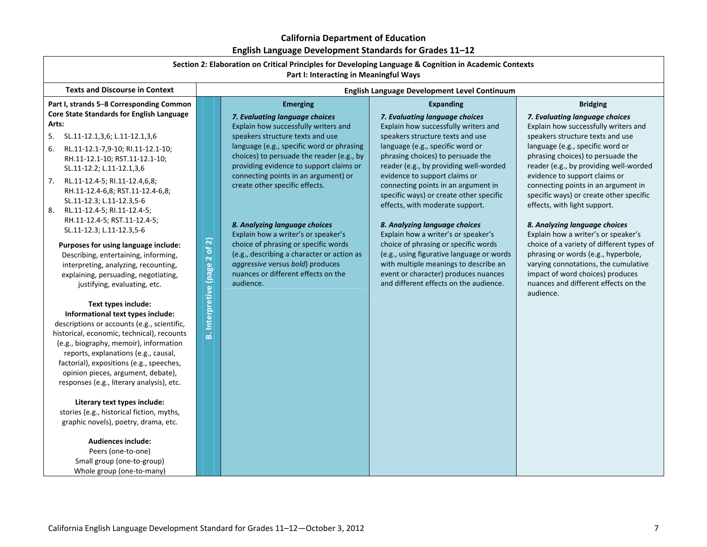| Section 2: Elaboration on Critical Principles for Developing Language & Cognition in Academic Contexts<br>Part I: Interacting in Meaningful Ways                                                                                                                                                                                                                                                                                                                                                                                                                                                                                                                                                                                                                                                                                                                                                                                                                                     |                                     |                                                                                                                                                                                                                                                                                                                                                                                                                                                                                                                                                                                 |                                                                                                                                                                                                                                                                                                                                                                                                                                                                                                                                                                                                                                                                             |                                                                                                                                                                                                                                                                                                                                                                                                                                                                                                                                                                                                                                                                               |
|--------------------------------------------------------------------------------------------------------------------------------------------------------------------------------------------------------------------------------------------------------------------------------------------------------------------------------------------------------------------------------------------------------------------------------------------------------------------------------------------------------------------------------------------------------------------------------------------------------------------------------------------------------------------------------------------------------------------------------------------------------------------------------------------------------------------------------------------------------------------------------------------------------------------------------------------------------------------------------------|-------------------------------------|---------------------------------------------------------------------------------------------------------------------------------------------------------------------------------------------------------------------------------------------------------------------------------------------------------------------------------------------------------------------------------------------------------------------------------------------------------------------------------------------------------------------------------------------------------------------------------|-----------------------------------------------------------------------------------------------------------------------------------------------------------------------------------------------------------------------------------------------------------------------------------------------------------------------------------------------------------------------------------------------------------------------------------------------------------------------------------------------------------------------------------------------------------------------------------------------------------------------------------------------------------------------------|-------------------------------------------------------------------------------------------------------------------------------------------------------------------------------------------------------------------------------------------------------------------------------------------------------------------------------------------------------------------------------------------------------------------------------------------------------------------------------------------------------------------------------------------------------------------------------------------------------------------------------------------------------------------------------|
| <b>Texts and Discourse in Context</b>                                                                                                                                                                                                                                                                                                                                                                                                                                                                                                                                                                                                                                                                                                                                                                                                                                                                                                                                                |                                     |                                                                                                                                                                                                                                                                                                                                                                                                                                                                                                                                                                                 | English Language Development Level Continuum                                                                                                                                                                                                                                                                                                                                                                                                                                                                                                                                                                                                                                |                                                                                                                                                                                                                                                                                                                                                                                                                                                                                                                                                                                                                                                                               |
| Part I, strands 5-8 Corresponding Common                                                                                                                                                                                                                                                                                                                                                                                                                                                                                                                                                                                                                                                                                                                                                                                                                                                                                                                                             |                                     | <b>Emerging</b>                                                                                                                                                                                                                                                                                                                                                                                                                                                                                                                                                                 | <b>Expanding</b>                                                                                                                                                                                                                                                                                                                                                                                                                                                                                                                                                                                                                                                            | <b>Bridging</b>                                                                                                                                                                                                                                                                                                                                                                                                                                                                                                                                                                                                                                                               |
| Core State Standards for English Language<br>Arts:<br>5. SL.11-12.1,3,6; L.11-12.1,3,6<br>6.<br>RL.11-12.1-7,9-10; RI.11-12.1-10;<br>RH.11-12.1-10; RST.11-12.1-10;<br>SL.11-12.2; L.11-12.1,3,6<br>RL.11-12.4-5; RI.11-12.4,6,8;<br>7.<br>RH.11-12.4-6,8; RST.11-12.4-6,8;<br>SL.11-12.3; L.11-12.3,5-6<br>8.<br>RL.11-12.4-5; RI.11-12.4-5;<br>RH.11-12.4-5; RST.11-12.4-5;<br>SL.11-12.3; L.11-12.3,5-6<br>Purposes for using language include:<br>Describing, entertaining, informing,<br>interpreting, analyzing, recounting,<br>explaining, persuading, negotiating,<br>justifying, evaluating, etc.<br>Text types include:<br>Informational text types include:<br>descriptions or accounts (e.g., scientific,<br>historical, economic, technical), recounts<br>(e.g., biography, memoir), information<br>reports, explanations (e.g., causal,<br>factorial), expositions (e.g., speeches,<br>opinion pieces, argument, debate),<br>responses (e.g., literary analysis), etc. | of 2)<br>Interpretive (page 2<br>۵Ò | 7. Evaluating language choices<br>Explain how successfully writers and<br>speakers structure texts and use<br>language (e.g., specific word or phrasing<br>choices) to persuade the reader (e.g., by<br>providing evidence to support claims or<br>connecting points in an argument) or<br>create other specific effects.<br>8. Analyzing language choices<br>Explain how a writer's or speaker's<br>choice of phrasing or specific words<br>(e.g., describing a character or action as<br>aggressive versus bold) produces<br>nuances or different effects on the<br>audience. | 7. Evaluating language choices<br>Explain how successfully writers and<br>speakers structure texts and use<br>language (e.g., specific word or<br>phrasing choices) to persuade the<br>reader (e.g., by providing well-worded<br>evidence to support claims or<br>connecting points in an argument in<br>specific ways) or create other specific<br>effects, with moderate support.<br>8. Analyzing language choices<br>Explain how a writer's or speaker's<br>choice of phrasing or specific words<br>(e.g., using figurative language or words<br>with multiple meanings to describe an<br>event or character) produces nuances<br>and different effects on the audience. | 7. Evaluating language choices<br>Explain how successfully writers and<br>speakers structure texts and use<br>language (e.g., specific word or<br>phrasing choices) to persuade the<br>reader (e.g., by providing well-worded<br>evidence to support claims or<br>connecting points in an argument in<br>specific ways) or create other specific<br>effects, with light support.<br>8. Analyzing language choices<br>Explain how a writer's or speaker's<br>choice of a variety of different types of<br>phrasing or words (e.g., hyperbole,<br>varying connotations, the cumulative<br>impact of word choices) produces<br>nuances and different effects on the<br>audience. |
| Literary text types include:<br>stories (e.g., historical fiction, myths,<br>graphic novels), poetry, drama, etc.<br><b>Audiences include:</b><br>Peers (one-to-one)<br>Small group (one-to-group)<br>Whole group (one-to-many)                                                                                                                                                                                                                                                                                                                                                                                                                                                                                                                                                                                                                                                                                                                                                      |                                     |                                                                                                                                                                                                                                                                                                                                                                                                                                                                                                                                                                                 |                                                                                                                                                                                                                                                                                                                                                                                                                                                                                                                                                                                                                                                                             |                                                                                                                                                                                                                                                                                                                                                                                                                                                                                                                                                                                                                                                                               |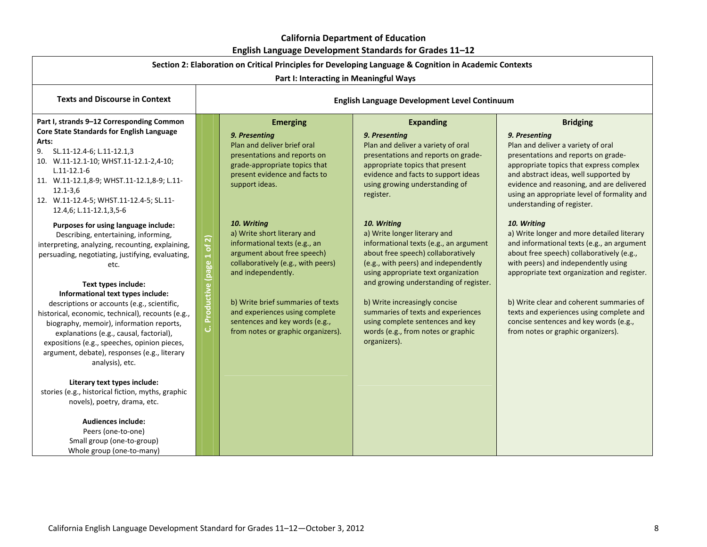| Liigiisii Laliguage Developiileilt Staliuarus IVI Graues II–IZ<br>Section 2: Elaboration on Critical Principles for Developing Language & Cognition in Academic Contexts                                                                                                                                                                                                                                                                                                                                                                                                                                                                                                                                                                                                                                                                                                                                                                                                                                                                                                                                                                           |                                                                                        |                                                                                                                                                                                                                                                                                                                                                                                                                                                                                                              |                                                                                                                                                                                                                                                                                                                                                                                                                                                                                                                                                                                                                                                                  |                                                                                                                                                                                                                                                                                                                                                                                                                                                                                                                                                                                                                                                                                                                                                   |
|----------------------------------------------------------------------------------------------------------------------------------------------------------------------------------------------------------------------------------------------------------------------------------------------------------------------------------------------------------------------------------------------------------------------------------------------------------------------------------------------------------------------------------------------------------------------------------------------------------------------------------------------------------------------------------------------------------------------------------------------------------------------------------------------------------------------------------------------------------------------------------------------------------------------------------------------------------------------------------------------------------------------------------------------------------------------------------------------------------------------------------------------------|----------------------------------------------------------------------------------------|--------------------------------------------------------------------------------------------------------------------------------------------------------------------------------------------------------------------------------------------------------------------------------------------------------------------------------------------------------------------------------------------------------------------------------------------------------------------------------------------------------------|------------------------------------------------------------------------------------------------------------------------------------------------------------------------------------------------------------------------------------------------------------------------------------------------------------------------------------------------------------------------------------------------------------------------------------------------------------------------------------------------------------------------------------------------------------------------------------------------------------------------------------------------------------------|---------------------------------------------------------------------------------------------------------------------------------------------------------------------------------------------------------------------------------------------------------------------------------------------------------------------------------------------------------------------------------------------------------------------------------------------------------------------------------------------------------------------------------------------------------------------------------------------------------------------------------------------------------------------------------------------------------------------------------------------------|
| <b>Texts and Discourse in Context</b>                                                                                                                                                                                                                                                                                                                                                                                                                                                                                                                                                                                                                                                                                                                                                                                                                                                                                                                                                                                                                                                                                                              | Part I: Interacting in Meaningful Ways<br>English Language Development Level Continuum |                                                                                                                                                                                                                                                                                                                                                                                                                                                                                                              |                                                                                                                                                                                                                                                                                                                                                                                                                                                                                                                                                                                                                                                                  |                                                                                                                                                                                                                                                                                                                                                                                                                                                                                                                                                                                                                                                                                                                                                   |
| Part I, strands 9-12 Corresponding Common<br>Core State Standards for English Language<br>Arts:<br>SL.11-12.4-6; L.11-12.1,3<br>9.<br>10. W.11-12.1-10; WHST.11-12.1-2,4-10;<br>$L.11 - 12.1 - 6$<br>11. W.11-12.1,8-9; WHST.11-12.1,8-9; L.11-<br>$12.1 - 3.6$<br>12. W.11-12.4-5; WHST.11-12.4-5; SL.11-<br>12.4,6; L.11-12.1,3,5-6<br>Purposes for using language include:<br>Describing, entertaining, informing,<br>interpreting, analyzing, recounting, explaining,<br>persuading, negotiating, justifying, evaluating,<br>etc.<br>Text types include:<br>Informational text types include:<br>descriptions or accounts (e.g., scientific,<br>historical, economic, technical), recounts (e.g.,<br>biography, memoir), information reports,<br>explanations (e.g., causal, factorial),<br>expositions (e.g., speeches, opinion pieces,<br>argument, debate), responses (e.g., literary<br>analysis), etc.<br>Literary text types include:<br>stories (e.g., historical fiction, myths, graphic<br>novels), poetry, drama, etc.<br><b>Audiences include:</b><br>Peers (one-to-one)<br>Small group (one-to-group)<br>Whole group (one-to-many) | of2)<br>Productive (page 1<br>ن                                                        | <b>Emerging</b><br>9. Presenting<br>Plan and deliver brief oral<br>presentations and reports on<br>grade-appropriate topics that<br>present evidence and facts to<br>support ideas.<br>10. Writing<br>a) Write short literary and<br>informational texts (e.g., an<br>argument about free speech)<br>collaboratively (e.g., with peers)<br>and independently.<br>b) Write brief summaries of texts<br>and experiences using complete<br>sentences and key words (e.g.,<br>from notes or graphic organizers). | <b>Expanding</b><br>9. Presenting<br>Plan and deliver a variety of oral<br>presentations and reports on grade-<br>appropriate topics that present<br>evidence and facts to support ideas<br>using growing understanding of<br>register.<br>10. Writing<br>a) Write longer literary and<br>informational texts (e.g., an argument<br>about free speech) collaboratively<br>(e.g., with peers) and independently<br>using appropriate text organization<br>and growing understanding of register.<br>b) Write increasingly concise<br>summaries of texts and experiences<br>using complete sentences and key<br>words (e.g., from notes or graphic<br>organizers). | <b>Bridging</b><br>9. Presenting<br>Plan and deliver a variety of oral<br>presentations and reports on grade-<br>appropriate topics that express complex<br>and abstract ideas, well supported by<br>evidence and reasoning, and are delivered<br>using an appropriate level of formality and<br>understanding of register.<br>10. Writing<br>a) Write longer and more detailed literary<br>and informational texts (e.g., an argument<br>about free speech) collaboratively (e.g.,<br>with peers) and independently using<br>appropriate text organization and register.<br>b) Write clear and coherent summaries of<br>texts and experiences using complete and<br>concise sentences and key words (e.g.,<br>from notes or graphic organizers). |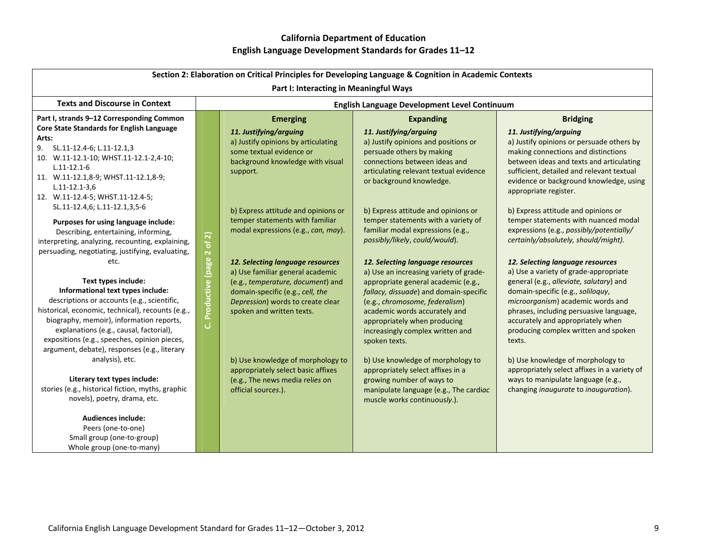| Section 2: Elaboration on Critical Principles for Developing Language & Cognition in Academic Contexts                                                                                                                                                                                                                                              |                                     |                                                                                                                                                                                       |                                                                                                                                                                                                                                       |                                                                                                                                                                                                                                                                                            |  |
|-----------------------------------------------------------------------------------------------------------------------------------------------------------------------------------------------------------------------------------------------------------------------------------------------------------------------------------------------------|-------------------------------------|---------------------------------------------------------------------------------------------------------------------------------------------------------------------------------------|---------------------------------------------------------------------------------------------------------------------------------------------------------------------------------------------------------------------------------------|--------------------------------------------------------------------------------------------------------------------------------------------------------------------------------------------------------------------------------------------------------------------------------------------|--|
| Part I: Interacting in Meaningful Ways                                                                                                                                                                                                                                                                                                              |                                     |                                                                                                                                                                                       |                                                                                                                                                                                                                                       |                                                                                                                                                                                                                                                                                            |  |
| <b>Texts and Discourse in Context</b>                                                                                                                                                                                                                                                                                                               |                                     | English Language Development Level Continuum                                                                                                                                          |                                                                                                                                                                                                                                       |                                                                                                                                                                                                                                                                                            |  |
| Part I, strands 9-12 Corresponding Common<br><b>Core State Standards for English Language</b><br>Arts:<br>9.<br>SL.11-12.4-6; L.11-12.1,3<br>10. W.11-12.1-10; WHST.11-12.1-2,4-10;<br>$L.11 - 12.1 - 6$<br>11. W.11-12.1,8-9; WHST.11-12.1,8-9;<br>$L.11 - 12.1 - 3.6$<br>12. W.11-12.4-5; WHST.11-12.4-5;                                         |                                     | <b>Emerging</b><br>11. Justifying/arguing<br>a) Justify opinions by articulating<br>some textual evidence or<br>background knowledge with visual<br>support.                          | <b>Expanding</b><br>11. Justifying/arguing<br>a) Justify opinions and positions or<br>persuade others by making<br>connections between ideas and<br>articulating relevant textual evidence<br>or background knowledge.                | <b>Bridging</b><br>11. Justifying/arguing<br>a) Justify opinions or persuade others by<br>making connections and distinctions<br>between ideas and texts and articulating<br>sufficient, detailed and relevant textual<br>evidence or background knowledge, using<br>appropriate register. |  |
| SL.11-12.4,6; L.11-12.1,3,5-6<br>Purposes for using language include:<br>Describing, entertaining, informing,<br>interpreting, analyzing, recounting, explaining,<br>persuading, negotiating, justifying, evaluating,<br>etc.                                                                                                                       | of2)<br>$\bar{\textbf{N}}$<br>(page | b) Express attitude and opinions or<br>temper statements with familiar<br>modal expressions (e.g., can, may).<br>12. Selecting language resources<br>a) Use familiar general academic | b) Express attitude and opinions or<br>temper statements with a variety of<br>familiar modal expressions (e.g.,<br>possibly/likely, could/would).<br>12. Selecting language resources<br>a) Use an increasing variety of grade-       | b) Express attitude and opinions or<br>temper statements with nuanced modal<br>expressions (e.g., possibly/potentially/<br>certainly/absolutely, should/might).<br>12. Selecting language resources<br>a) Use a variety of grade-appropriate                                               |  |
| Text types include:<br>Informational text types include:<br>descriptions or accounts (e.g., scientific,<br>historical, economic, technical), recounts (e.g.,<br>biography, memoir), information reports,<br>explanations (e.g., causal, factorial),<br>expositions (e.g., speeches, opinion pieces,<br>argument, debate), responses (e.g., literary | <b>Productive</b><br>ان             | (e.g., temperature, document) and<br>domain-specific (e.g., cell, the<br>Depression) words to create clear<br>spoken and written texts.                                               | appropriate general academic (e.g.,<br>fallacy, dissuade) and domain-specific<br>(e.g., chromosome, federalism)<br>academic words accurately and<br>appropriately when producing<br>increasingly complex written and<br>spoken texts. | general (e.g., alleviate, salutary) and<br>domain-specific (e.g., soliloquy,<br>microorganism) academic words and<br>phrases, including persuasive language,<br>accurately and appropriately when<br>producing complex written and spoken<br>texts.                                        |  |
| analysis), etc.<br>Literary text types include:<br>stories (e.g., historical fiction, myths, graphic<br>novels), poetry, drama, etc.<br>Audiences include:<br>Peers (one-to-one)<br>Small group (one-to-group)<br>Whole group (one-to-many)                                                                                                         |                                     | b) Use knowledge of morphology to<br>appropriately select basic affixes<br>(e.g., The news media relies on<br>official sources.).                                                     | b) Use knowledge of morphology to<br>appropriately select affixes in a<br>growing number of ways to<br>manipulate language (e.g., The cardiac<br>muscle works continuously.).                                                         | b) Use knowledge of morphology to<br>appropriately select affixes in a variety of<br>ways to manipulate language (e.g.,<br>changing inaugurate to inauguration).                                                                                                                           |  |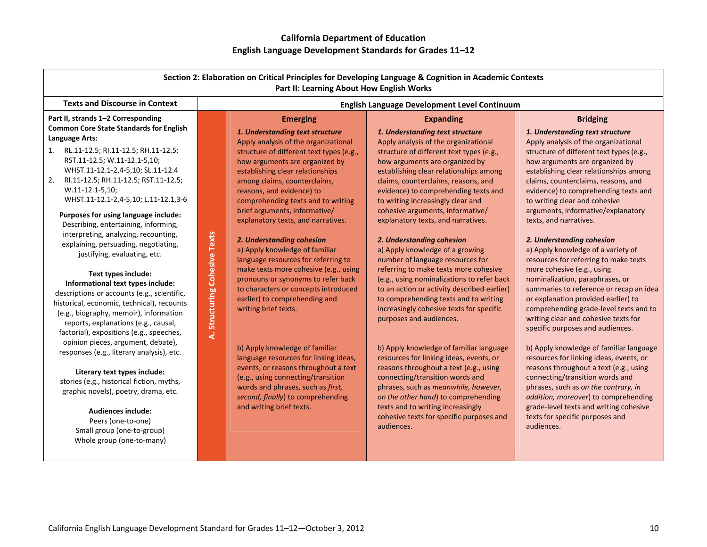| Section 2: Elaboration on Critical Principles for Developing Language & Cognition in Academic Contexts<br>Part II: Learning About How English Works                                                                                                                                                                                                                                                                                                                                                                                                                                                                                                                                                                                                                                                                                                                                                                                                                                                                                                                                                                                            |                               |                                                                                                                                                                                                                                                                                                                                                                                                                                                                                                                                                                                                                                                                                                                                                                                                                                                                                                                                             |                                                                                                                                                                                                                                                                                                                                                                                                                                                                                                                                                                                                                                                                                                                                                                                                                                                                                                                                                                                                                                                                                                                              |                                                                                                                                                                                                                                                                                                                                                                                                                                                                                                                                                                                                                                                                                                                                                                                                                                                                                                                                                                                                                                                                                                                                       |  |  |
|------------------------------------------------------------------------------------------------------------------------------------------------------------------------------------------------------------------------------------------------------------------------------------------------------------------------------------------------------------------------------------------------------------------------------------------------------------------------------------------------------------------------------------------------------------------------------------------------------------------------------------------------------------------------------------------------------------------------------------------------------------------------------------------------------------------------------------------------------------------------------------------------------------------------------------------------------------------------------------------------------------------------------------------------------------------------------------------------------------------------------------------------|-------------------------------|---------------------------------------------------------------------------------------------------------------------------------------------------------------------------------------------------------------------------------------------------------------------------------------------------------------------------------------------------------------------------------------------------------------------------------------------------------------------------------------------------------------------------------------------------------------------------------------------------------------------------------------------------------------------------------------------------------------------------------------------------------------------------------------------------------------------------------------------------------------------------------------------------------------------------------------------|------------------------------------------------------------------------------------------------------------------------------------------------------------------------------------------------------------------------------------------------------------------------------------------------------------------------------------------------------------------------------------------------------------------------------------------------------------------------------------------------------------------------------------------------------------------------------------------------------------------------------------------------------------------------------------------------------------------------------------------------------------------------------------------------------------------------------------------------------------------------------------------------------------------------------------------------------------------------------------------------------------------------------------------------------------------------------------------------------------------------------|---------------------------------------------------------------------------------------------------------------------------------------------------------------------------------------------------------------------------------------------------------------------------------------------------------------------------------------------------------------------------------------------------------------------------------------------------------------------------------------------------------------------------------------------------------------------------------------------------------------------------------------------------------------------------------------------------------------------------------------------------------------------------------------------------------------------------------------------------------------------------------------------------------------------------------------------------------------------------------------------------------------------------------------------------------------------------------------------------------------------------------------|--|--|
| <b>Texts and Discourse in Context</b>                                                                                                                                                                                                                                                                                                                                                                                                                                                                                                                                                                                                                                                                                                                                                                                                                                                                                                                                                                                                                                                                                                          |                               | English Language Development Level Continuum                                                                                                                                                                                                                                                                                                                                                                                                                                                                                                                                                                                                                                                                                                                                                                                                                                                                                                |                                                                                                                                                                                                                                                                                                                                                                                                                                                                                                                                                                                                                                                                                                                                                                                                                                                                                                                                                                                                                                                                                                                              |                                                                                                                                                                                                                                                                                                                                                                                                                                                                                                                                                                                                                                                                                                                                                                                                                                                                                                                                                                                                                                                                                                                                       |  |  |
| Part II, strands 1-2 Corresponding<br><b>Common Core State Standards for English</b><br>Language Arts:<br>RL.11-12.5; RI.11-12.5; RH.11-12.5;<br>1.<br>RST.11-12.5; W.11-12.1-5,10;<br>WHST.11-12.1-2,4-5,10; SL.11-12.4<br>2.<br>RI.11-12.5; RH.11-12.5; RST.11-12.5;<br>W.11-12.1-5,10;<br>WHST.11-12.1-2,4-5,10; L.11-12.1,3-6<br>Purposes for using language include:<br>Describing, entertaining, informing,<br>interpreting, analyzing, recounting,<br>explaining, persuading, negotiating,<br>justifying, evaluating, etc.<br>Text types include:<br>Informational text types include:<br>descriptions or accounts (e.g., scientific,<br>historical, economic, technical), recounts<br>(e.g., biography, memoir), information<br>reports, explanations (e.g., causal,<br>factorial), expositions (e.g., speeches,<br>opinion pieces, argument, debate),<br>responses (e.g., literary analysis), etc.<br>Literary text types include:<br>stories (e.g., historical fiction, myths,<br>graphic novels), poetry, drama, etc.<br><b>Audiences include:</b><br>Peers (one-to-one)<br>Small group (one-to-group)<br>Whole group (one-to-many) | A. Structuring Cohesive Texts | <b>Emerging</b><br>1. Understanding text structure<br>Apply analysis of the organizational<br>structure of different text types (e.g.,<br>how arguments are organized by<br>establishing clear relationships<br>among claims, counterclaims,<br>reasons, and evidence) to<br>comprehending texts and to writing<br>brief arguments, informative/<br>explanatory texts, and narratives.<br>2. Understanding cohesion<br>a) Apply knowledge of familiar<br>language resources for referring to<br>make texts more cohesive (e.g., using<br>pronouns or synonyms to refer back<br>to characters or concepts introduced<br>earlier) to comprehending and<br>writing brief texts.<br>b) Apply knowledge of familiar<br>language resources for linking ideas,<br>events, or reasons throughout a text<br>(e.g., using connecting/transition<br>words and phrases, such as first,<br>second, finally) to comprehending<br>and writing brief texts. | <b>Expanding</b><br>1. Understanding text structure<br>Apply analysis of the organizational<br>structure of different text types (e.g.,<br>how arguments are organized by<br>establishing clear relationships among<br>claims, counterclaims, reasons, and<br>evidence) to comprehending texts and<br>to writing increasingly clear and<br>cohesive arguments, informative/<br>explanatory texts, and narratives.<br>2. Understanding cohesion<br>a) Apply knowledge of a growing<br>number of language resources for<br>referring to make texts more cohesive<br>(e.g., using nominalizations to refer back<br>to an action or activity described earlier)<br>to comprehending texts and to writing<br>increasingly cohesive texts for specific<br>purposes and audiences.<br>b) Apply knowledge of familiar language<br>resources for linking ideas, events, or<br>reasons throughout a text (e.g., using<br>connecting/transition words and<br>phrases, such as meanwhile, however,<br>on the other hand) to comprehending<br>texts and to writing increasingly<br>cohesive texts for specific purposes and<br>audiences. | <b>Bridging</b><br>1. Understanding text structure<br>Apply analysis of the organizational<br>structure of different text types (e.g.,<br>how arguments are organized by<br>establishing clear relationships among<br>claims, counterclaims, reasons, and<br>evidence) to comprehending texts and<br>to writing clear and cohesive<br>arguments, informative/explanatory<br>texts, and narratives.<br>2. Understanding cohesion<br>a) Apply knowledge of a variety of<br>resources for referring to make texts<br>more cohesive (e.g., using<br>nominalization, paraphrases, or<br>summaries to reference or recap an idea<br>or explanation provided earlier) to<br>comprehending grade-level texts and to<br>writing clear and cohesive texts for<br>specific purposes and audiences.<br>b) Apply knowledge of familiar language<br>resources for linking ideas, events, or<br>reasons throughout a text (e.g., using<br>connecting/transition words and<br>phrases, such as on the contrary, in<br>addition, moreover) to comprehending<br>grade-level texts and writing cohesive<br>texts for specific purposes and<br>audiences. |  |  |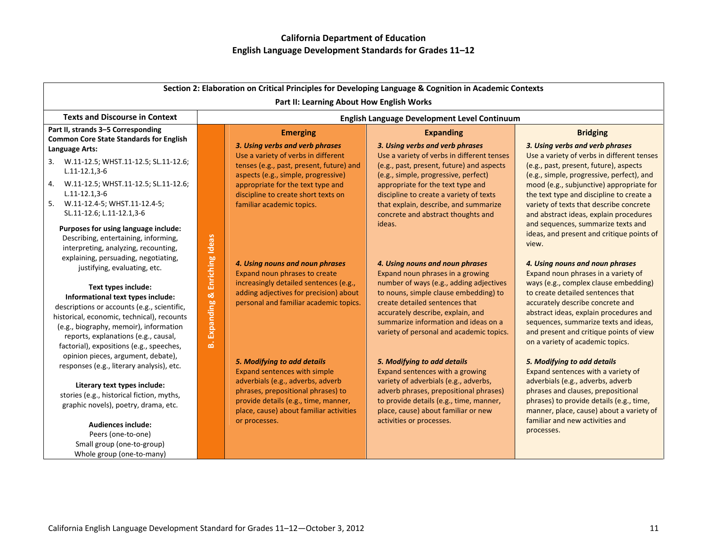| Section 2: Elaboration on Critical Principles for Developing Language & Cognition in Academic Contexts                                                                                                                                                                                                                    |                                                 |                                                                                                                        |                                                                                                                                                                                                  |                                                                                                                                                                                                                                         |  |  |
|---------------------------------------------------------------------------------------------------------------------------------------------------------------------------------------------------------------------------------------------------------------------------------------------------------------------------|-------------------------------------------------|------------------------------------------------------------------------------------------------------------------------|--------------------------------------------------------------------------------------------------------------------------------------------------------------------------------------------------|-----------------------------------------------------------------------------------------------------------------------------------------------------------------------------------------------------------------------------------------|--|--|
| Part II: Learning About How English Works                                                                                                                                                                                                                                                                                 |                                                 |                                                                                                                        |                                                                                                                                                                                                  |                                                                                                                                                                                                                                         |  |  |
| <b>Texts and Discourse in Context</b>                                                                                                                                                                                                                                                                                     |                                                 | English Language Development Level Continuum                                                                           |                                                                                                                                                                                                  |                                                                                                                                                                                                                                         |  |  |
| Part II, strands 3-5 Corresponding<br><b>Common Core State Standards for English</b><br>Language Arts:                                                                                                                                                                                                                    |                                                 | <b>Emerging</b><br>3. Using verbs and verb phrases                                                                     | <b>Expanding</b><br>3. Using verbs and verb phrases                                                                                                                                              | <b>Bridging</b><br>3. Using verbs and verb phrases                                                                                                                                                                                      |  |  |
| 3. W.11-12.5; WHST.11-12.5; SL.11-12.6;<br>$L.11 - 12.1, 3 - 6$                                                                                                                                                                                                                                                           |                                                 | Use a variety of verbs in different<br>tenses (e.g., past, present, future) and<br>aspects (e.g., simple, progressive) | Use a variety of verbs in different tenses<br>(e.g., past, present, future) and aspects<br>(e.g., simple, progressive, perfect)                                                                  | Use a variety of verbs in different tenses<br>(e.g., past, present, future), aspects<br>(e.g., simple, progressive, perfect), and                                                                                                       |  |  |
| 4. W.11-12.5; WHST.11-12.5; SL.11-12.6;<br>$L.11 - 12.1, 3 - 6$<br>5. W.11-12.4-5; WHST.11-12.4-5;<br>SL.11-12.6; L.11-12.1,3-6                                                                                                                                                                                           | Enriching Ideas<br>œΧ<br><b>Expanding</b><br>ங் | appropriate for the text type and<br>discipline to create short texts on<br>familiar academic topics.                  | appropriate for the text type and<br>discipline to create a variety of texts<br>that explain, describe, and summarize<br>concrete and abstract thoughts and                                      | mood (e.g., subjunctive) appropriate for<br>the text type and discipline to create a<br>variety of texts that describe concrete<br>and abstract ideas, explain procedures                                                               |  |  |
| Purposes for using language include:<br>Describing, entertaining, informing,<br>interpreting, analyzing, recounting,<br>explaining, persuading, negotiating,                                                                                                                                                              |                                                 |                                                                                                                        | ideas.                                                                                                                                                                                           | and sequences, summarize texts and<br>ideas, and present and critique points of<br>view.                                                                                                                                                |  |  |
| justifying, evaluating, etc.                                                                                                                                                                                                                                                                                              |                                                 | 4. Using nouns and noun phrases<br>Expand noun phrases to create<br>increasingly detailed sentences (e.g.,             | 4. Using nouns and noun phrases<br>Expand noun phrases in a growing<br>number of ways (e.g., adding adjectives                                                                                   | 4. Using nouns and noun phrases<br>Expand noun phrases in a variety of<br>ways (e.g., complex clause embedding)                                                                                                                         |  |  |
| Text types include:<br>Informational text types include:<br>descriptions or accounts (e.g., scientific,<br>historical, economic, technical), recounts<br>(e.g., biography, memoir), information<br>reports, explanations (e.g., causal,<br>factorial), expositions (e.g., speeches,<br>opinion pieces, argument, debate), |                                                 | adding adjectives for precision) about<br>personal and familiar academic topics.                                       | to nouns, simple clause embedding) to<br>create detailed sentences that<br>accurately describe, explain, and<br>summarize information and ideas on a<br>variety of personal and academic topics. | to create detailed sentences that<br>accurately describe concrete and<br>abstract ideas, explain procedures and<br>sequences, summarize texts and ideas,<br>and present and critique points of view<br>on a variety of academic topics. |  |  |
| responses (e.g., literary analysis), etc.<br>Literary text types include:                                                                                                                                                                                                                                                 |                                                 | 5. Modifying to add details<br>Expand sentences with simple<br>adverbials (e.g., adverbs, adverb                       | 5. Modifying to add details<br>Expand sentences with a growing<br>variety of adverbials (e.g., adverbs,                                                                                          | 5. Modifying to add details<br>Expand sentences with a variety of<br>adverbials (e.g., adverbs, adverb                                                                                                                                  |  |  |
| stories (e.g., historical fiction, myths,<br>graphic novels), poetry, drama, etc.                                                                                                                                                                                                                                         |                                                 | phrases, prepositional phrases) to<br>provide details (e.g., time, manner,<br>place, cause) about familiar activities  | adverb phrases, prepositional phrases)<br>to provide details (e.g., time, manner,<br>place, cause) about familiar or new                                                                         | phrases and clauses, prepositional<br>phrases) to provide details (e.g., time,<br>manner, place, cause) about a variety of                                                                                                              |  |  |
| <b>Audiences include:</b><br>Peers (one-to-one)<br>Small group (one-to-group)<br>Whole group (one-to-many)                                                                                                                                                                                                                |                                                 | or processes.                                                                                                          | activities or processes.                                                                                                                                                                         | familiar and new activities and<br>processes.                                                                                                                                                                                           |  |  |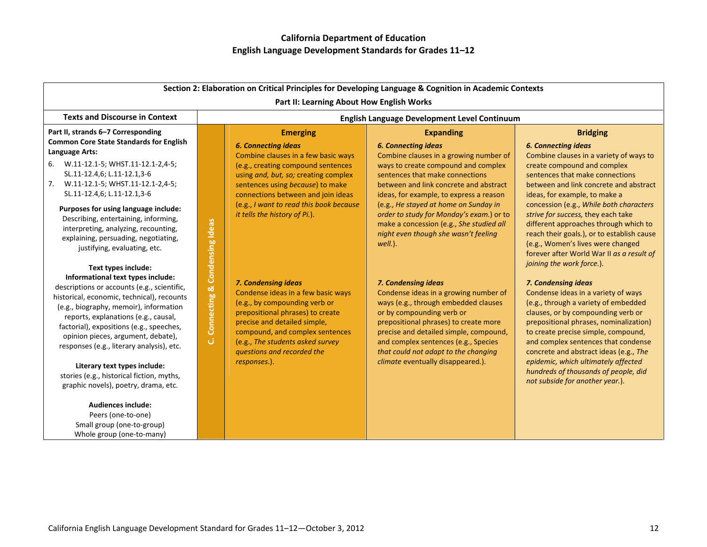Small group (one‐to‐group) Whole group (one‐to‐many)